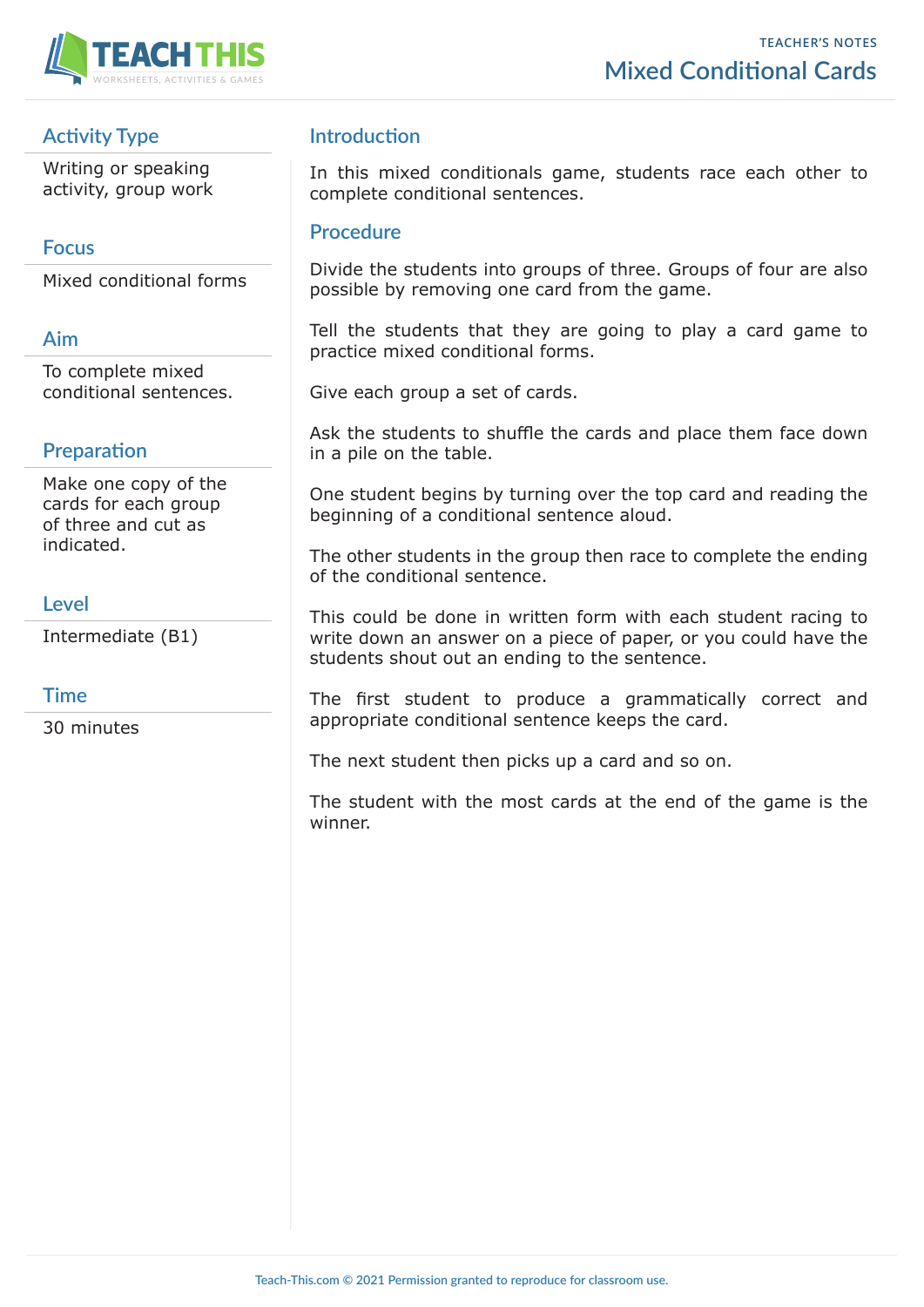

# **Activity Type**

Writing or speaking activity, group work

### **Focus**

Mixed conditional forms

## **Aim**

To complete mixed conditional sentences.

# **Preparation**

Make one copy of the cards for each group of three and cut as indicated.

#### **Level**

Intermediate (B1)

### **Time**

30 minutes

## **Introduction**

In this mixed conditionals game, students race each other to complete conditional sentences.

#### **Procedure**

Divide the students into groups of three. Groups of four are also possible by removing one card from the game.

Tell the students that they are going to play a card game to practice mixed conditional forms.

Give each group a set of cards.

Ask the students to shuffle the cards and place them face down in a pile on the table.

One student begins by turning over the top card and reading the beginning of a conditional sentence aloud.

The other students in the group then race to complete the ending of the conditional sentence.

This could be done in written form with each student racing to write down an answer on a piece of paper, or you could have the students shout out an ending to the sentence.

The first student to produce a grammatically correct and appropriate conditional sentence keeps the card.

The next student then picks up a card and so on.

The student with the most cards at the end of the game is the winner.